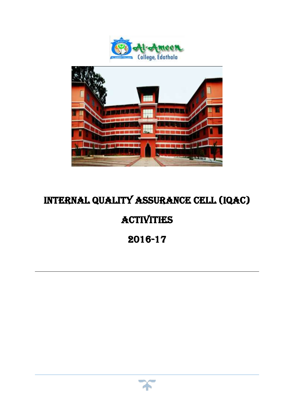



# Internal quality assurance cell (iqac) **ACTIVITIES** 2016-17

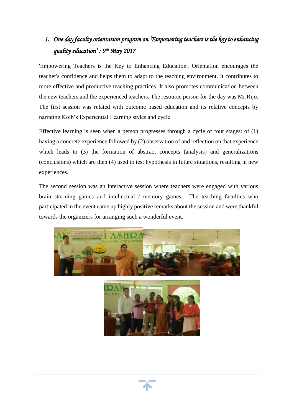## *1. One day faculty orientation program on 'Empowering teachers is the key to enhancing quality education' : 9th May 2017*

'Empowering Teachers is the Key to Enhancing Education'. Orientation encourages the teacher's confidence and helps them to adapt to the teaching environment. It contributes to more effective and productive teaching practices. It also promotes communication between the new teachers and the experienced teachers. The resource person for the day was Mr.Rijo. The first session was related with outcome based education and its relative concepts by narrating Kolb's Experiential Learning styles and cycle.

Effective learning is seen when a person progresses through a cycle of four stages: of (1) having a concrete experience followed by (2) observation of and reflection on that experience which leads to (3) the formation of abstract concepts (analysis) and generalizations (conclusions) which are then (4) used to test hypothesis in future situations, resulting in new experiences.

The second session was an interactive session where teachers were engaged with various brain storming games and intellectual / memory games. The teaching faculties who participated in the event came up highly positive remarks about the session and were thankful towards the organizers for arranging such a wonderful event.





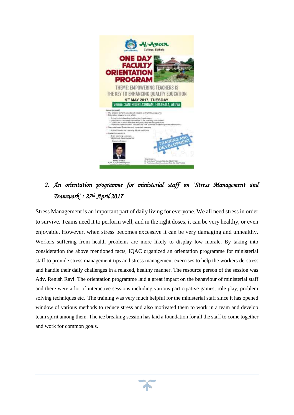

## *2. An orientation programme for ministerial staff on 'Stress Management and Teamwork' : 27th April 2017*

Stress Management is an important part of daily living for everyone. We all need stress in order to survive. Teams need it to perform well, and in the right doses, it can be very healthy, or even enjoyable. However, when stress becomes excessive it can be very damaging and unhealthy. Workers suffering from health problems are more likely to display low morale. By taking into consideration the above mentioned facts, IQAC organized an orientation programme for ministerial staff to provide stress management tips and stress management exercises to help the workers de-stress and handle their daily challenges in a relaxed, healthy manner. The resource person of the session was Adv. Renish Ravi. The orientation programme laid a great impact on the behaviour of ministerial staff and there were a lot of interactive sessions including various participative games, role play, problem solving techniques etc. The training was very much helpful for the ministerial staff since it has opened window of various methods to reduce stress and also motivated them to work in a team and develop team spirit among them. The ice breaking session has laid a foundation for all the staff to come together and work for common goals.

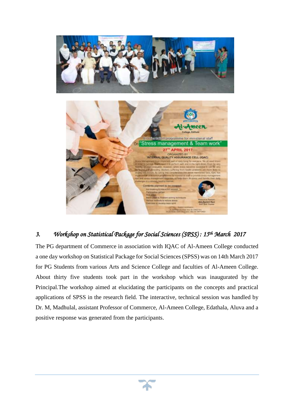

#### *3. Workshop on Statistical Package for Social Sciences (SPSS) : 15th March 2017*

Contents giarmed to be

The PG department of Commerce in association with IQAC of Al-Ameen College conducted a one day workshop on Statistical Package for Social Sciences (SPSS) was on 14th March 2017 for PG Students from various Arts and Science College and faculties of Al-Ameen College. About thirty five students took part in the workshop which was inaugurated by the Principal.The workshop aimed at elucidating the participants on the concepts and practical applications of SPSS in the research field. The interactive, technical session was handled by Dr. M, Madhulal, assistant Professor of Commerce, Al-Ameen College, Edathala, Aluva and a positive response was generated from the participants.

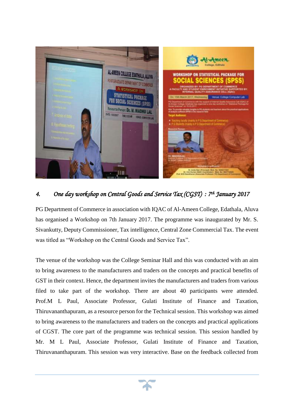

### *4. One day workshop on Central Goods and Service Tax (CGST) : 7th January 2017*

PG Department of Commerce in association with IQAC of Al-Ameen College, Edathala, Aluva has organised a Workshop on 7th January 2017. The programme was inaugurated by Mr. S. Sivankutty, Deputy Commissioner, Tax intelligence, Central Zone Commercial Tax. The event was titled as "Workshop on the Central Goods and Service Tax".

The venue of the workshop was the College Seminar Hall and this was conducted with an aim to bring awareness to the manufacturers and traders on the concepts and practical benefits of GST in their context. Hence, the department invites the manufacturers and traders from various filed to take part of the workshop. There are about 40 participants were attended. Prof.M L Paul, Associate Professor, Gulati Institute of Finance and Taxation, Thiruvananthapuram, as a resource person for the Technical session. This workshop was aimed to bring awareness to the manufacturers and traders on the concepts and practical applications of CGST. The core part of the programme was technical session. This session handled by Mr. M L Paul, Associate Professor, Gulati Institute of Finance and Taxation, Thiruvananthapuram. This session was very interactive. Base on the feedback collected from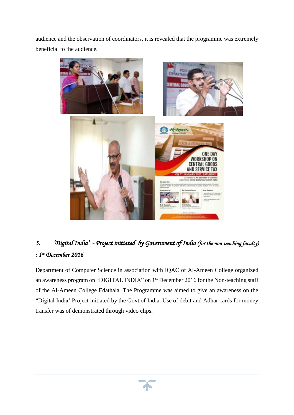audience and the observation of coordinators, it is revealed that the programme was extremely beneficial to the audience.



## *5. 'Digital India' - Project initiated by Government of India (for the non-teaching faculty) : 1 st December 2016*

Department of Computer Science in association with IQAC of Al-Ameen College organized an awareness program on "DIGITAL INDIA" on 1<sup>st</sup> December 2016 for the Non-teaching staff of the Al-Ameen College Edathala. The Programme was aimed to give an awareness on the "Digital India' Project initiated by the Govt.of India. Use of debit and Adhar cards for money transfer was of demonstrated through video clips.

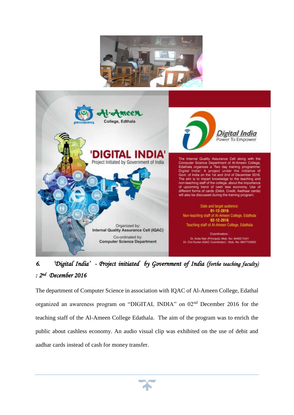



## *6. 'Digital India' - Project initiated by Government of India (forthe teaching faculty) : 2nd December 2016*

The department of Computer Science in association with IQAC of Al-Ameen College, Edathal organized an awareness program on "DIGITAL INDIA" on 02nd December 2016 for the teaching staff of the Al-Ameen College Edathala. The aim of the program was to enrich the public about cashless economy. An audio visual clip was exhibited on the use of debit and aadhar cards instead of cash for money transfer.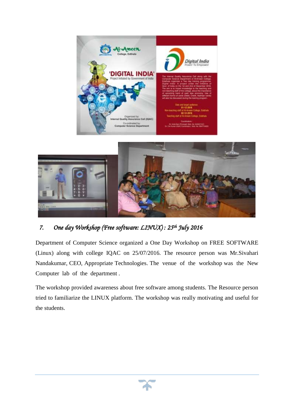



### *7. One day Workshop (Free software: LINUX) : 25th July 2016*

Department of Computer Science organized a One Day Workshop on FREE SOFTWARE (Linux) along with college IQAC on 25/07/2016. The resource person was Mr.Sivahari Nandakumar, CEO, Appropriate Technologies. The venue of the workshop was the New Computer lab of the department .

The workshop provided awareness about free software among students. The Resource person tried to familiarize the LINUX platform. The workshop was really motivating and useful for the students.

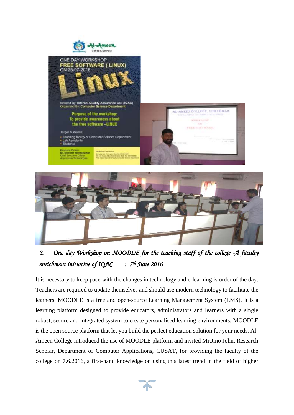



*8. One day Workshop on MOODLE for the teaching staff of the college -A faculty enrichment initiative of IQAC June 2016* 

It is necessary to keep pace with the changes in technology and e-learning is order of the day. Teachers are required to update themselves and should use modern technology to facilitate the learners. MOODLE is a [free and open-source](https://en.wikipedia.org/wiki/Free_and_open-source) [Learning Management System](https://en.wikipedia.org/wiki/Learning_management_system) (LMS). It is a learning platform designed to provide educators, administrators and learners with a single robust, secure and integrated system to create personalised learning environments. MOODLE is the open source platform that let you build the perfect education solution for your needs. Al-Ameen College introduced the use of MOODLE platform and invited Mr.Jino John, Research Scholar, Department of Computer Applications, CUSAT, for providing the faculty of the college on 7.6.2016, a first-hand knowledge on using this latest trend in the field of higher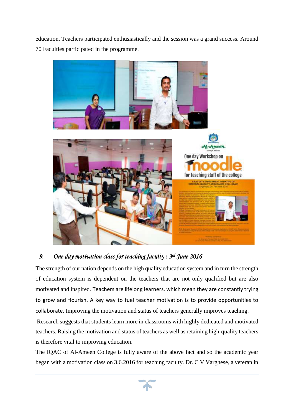education. Teachers participated enthusiastically and the session was a grand success. Around 70 Faculties participated in the programme.



### *9. One day motivation class for teaching faculty : 3rd June 2016*

The strength of our nation depends on the high quality education system and in turn the strength of education system is dependent on the teachers that are not only qualified but are also motivated and inspired. Teachers are lifelong learners, which mean they are constantly trying to grow and flourish. A key way to fuel teacher motivation is to provide opportunities to collaborate. Improving the motivation and status of teachers generally improves teaching.

Research suggests that students learn more in classrooms with highly dedicated and motivated teachers. Raising the motivation and status of teachers as well as retaining high-quality teachers is therefore vital to improving education.

The IQAC of Al-Ameen College is fully aware of the above fact and so the academic year began with a motivation class on 3.6.2016 for teaching faculty. Dr. C V Varghese, a veteran in